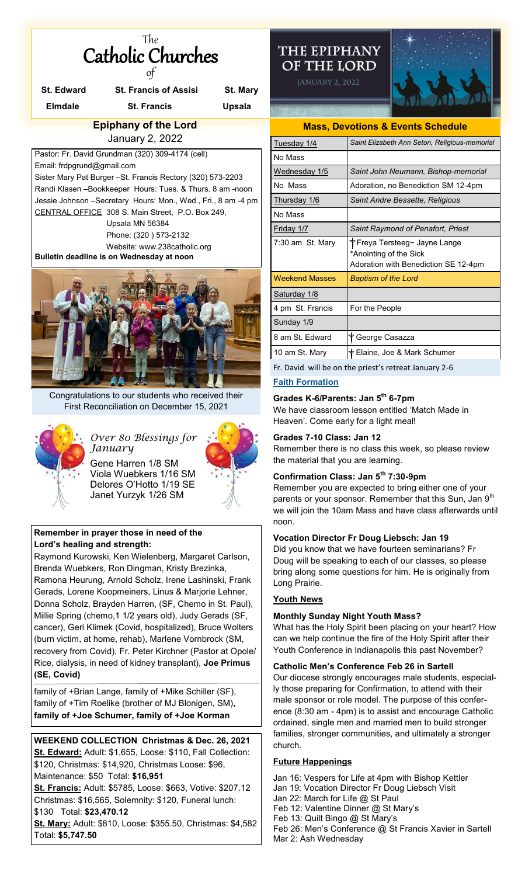| The                      |  |  |  |
|--------------------------|--|--|--|
| <b>Catholic Churches</b> |  |  |  |
|                          |  |  |  |

|                        | <b>St. Edward</b>                                  | <b>St. Francis of Assisi</b>                                                                                                                                                                                                                                                                                                                                                                                                   | St. Mary      |  |  |
|------------------------|----------------------------------------------------|--------------------------------------------------------------------------------------------------------------------------------------------------------------------------------------------------------------------------------------------------------------------------------------------------------------------------------------------------------------------------------------------------------------------------------|---------------|--|--|
|                        | <b>Elmdale</b>                                     | <b>St. Francis</b>                                                                                                                                                                                                                                                                                                                                                                                                             | <b>Upsala</b> |  |  |
|                        | <b>Epiphany of the Lord</b>                        |                                                                                                                                                                                                                                                                                                                                                                                                                                |               |  |  |
| <b>January 2, 2022</b> |                                                    |                                                                                                                                                                                                                                                                                                                                                                                                                                |               |  |  |
|                        | Email: frdpgrund@gmail.com                         | Pastor: Fr. David Grundman (320) 309-4174 (cell)<br>Sister Mary Pat Burger - St. Francis Rectory (320) 573-2203<br>Randi Klasen - Bookkeeper Hours: Tues. & Thurs. 8 am - noon<br>Jessie Johnson - Secretary Hours: Mon., Wed., Fri., 8 am - 4 pm<br>CENTRAL OFFICE 308 S. Main Street, P.O. Box 249,<br>Upsala MN 56384<br>Phone: (320) 573-2132<br>Website: www.238catholic.org<br>Bulletin deadline is on Wednesday at noon |               |  |  |
|                        | Congratulations to our students who received their |                                                                                                                                                                                                                                                                                                                                                                                                                                |               |  |  |
|                        |                                                    | First Reconciliation on December 15, 2021<br>Over 80 Blessings for<br>January<br>Gene Harren 1/8 SM<br>Viola Wuebkers 1/16 SM<br>Delores O'Hotto 1/19 SE<br>Janet Yurzyk 1/26 SM                                                                                                                                                                                                                                               |               |  |  |

# **Remember in prayer those in need of the Lord's healing and strength:**

Raymond Kurowski, Ken Wielenberg, Margaret Carlson, Brenda Wuebkers, Ron Dingman, Kristy Brezinka, Ramona Heurung, Arnold Scholz, Irene Lashinski, Frank Gerads, Lorene Koopmeiners, Linus & Marjorie Lehner, Donna Scholz, Brayden Harren, (SF, Chemo in St. Paul), Millie Spring (chemo,1 1/2 years old), Judy Gerads (SF, cancer), Geri Klimek (Covid, hospitalized), Bruce Wolters (burn victim, at home, rehab), Marlene Vornbrock (SM, recovery from Covid), Fr. Peter Kirchner (Pastor at Opole/ Rice, dialysis, in need of kidney transplant), **Joe Primus (SE, Covid)**

family of +Brian Lange, family of +Mike Schiller (SF), family of +Tim Roelike (brother of MJ Blonigen, SM)**, family of +Joe Schumer, family of +Joe Korman** 

## **WEEKEND COLLECTION Christmas & Dec. 26, 2021 St. Edward:** Adult: \$1,655, Loose: \$110, Fall Collection: \$120, Christmas: \$14,920, Christmas Loose: \$96, Maintenance: \$50 Total: **\$16,951**

**St. Francis:** Adult: \$5785, Loose: \$663, Votive: \$207.12 Christmas: \$16,565, Solemnity: \$120, Funeral lunch: \$130 Total: **\$23,470.12** 

**St. Mary:** Adult: \$810, Loose: \$355.50, Christmas: \$4,582 Total: **\$5,747.50**

# THE EPIPHANY OF THE LORD

**JANUARY 2, 2022** 



| <b>Mass, Devotions &amp; Events Schedule</b> |                                                                                                  |  |  |
|----------------------------------------------|--------------------------------------------------------------------------------------------------|--|--|
| Tuesday 1/4                                  | Saint Elizabeth Ann Seton, Religious-memorial                                                    |  |  |
| No Mass                                      |                                                                                                  |  |  |
| <u>Wednesday</u> 1/5                         | Saint John Neumann, Bishop-memorial                                                              |  |  |
| No Mass                                      | Adoration, no Benediction SM 12-4pm                                                              |  |  |
| <u>Thursday 1/6</u>                          | Saint Andre Bessette, Religious                                                                  |  |  |
| No Mass                                      |                                                                                                  |  |  |
| Friday 1/7                                   | Saint Raymond of Penafort, Priest                                                                |  |  |
| 7:30 am St. Mary                             | ึ† Freya Tersteeg∼ Jayne Lange<br>*Anointing of the Sick<br>Adoration with Benediction SE 12-4pm |  |  |
| <b>Weekend Masses</b>                        | <b>Baptism of the Lord</b>                                                                       |  |  |
| Saturday 1/8                                 |                                                                                                  |  |  |
| 4 pm St. Francis                             | For the People                                                                                   |  |  |
| Sunday 1/9                                   |                                                                                                  |  |  |
| 8 am St. Fdward                              | <b>T</b> George Casazza                                                                          |  |  |
| 10 am St. Mary                               | † Elaine, Joe & Mark Schumer                                                                     |  |  |
|                                              | Fr. David will be on the priest's retreat January 2-6                                            |  |  |

# **Faith Formation**

# **Grades K-6/Parents: Jan 5th 6-7pm**

We have classroom lesson entitled 'Match Made in Heaven'. Come early for a light meal!

## **Grades 7-10 Class: Jan 12**

Remember there is no class this week, so please review the material that you are learning.

# **Confirmation Class: Jan 5th 7:30-9pm**

Remember you are expected to bring either one of your parents or your sponsor. Remember that this Sun, Jan  $9^{th}$ we will join the 10am Mass and have class afterwards until noon.

### **Vocation Director Fr Doug Liebsch: Jan 19**

Did you know that we have fourteen seminarians? Fr Doug will be speaking to each of our classes, so please bring along some questions for him. He is originally from Long Prairie.

# **Youth News**

# **Monthly Sunday Night Youth Mass?**

What has the Holy Spirit been placing on your heart? How can we help continue the fire of the Holy Spirit after their Youth Conference in Indianapolis this past November?

### **Catholic Men's Conference Feb 26 in Sartell**

Our diocese strongly encourages male students, especially those preparing for Confirmation, to attend with their male sponsor or role model. The purpose of this conference (8:30 am - 4pm) is to assist and encourage Catholic ordained, single men and married men to build stronger families, stronger communities, and ultimately a stronger church.

# **Future Happenings**

Mar 2: Ash Wednesday

Jan 16: Vespers for Life at 4pm with Bishop Kettler Jan 19: Vocation Director Fr Doug Liebsch Visit Jan 22: March for Life @ St Paul Feb 12: Valentine Dinner @ St Mary's Feb 13: Quilt Bingo @ St Mary's Feb 26: Men's Conference @ St Francis Xavier in Sartell